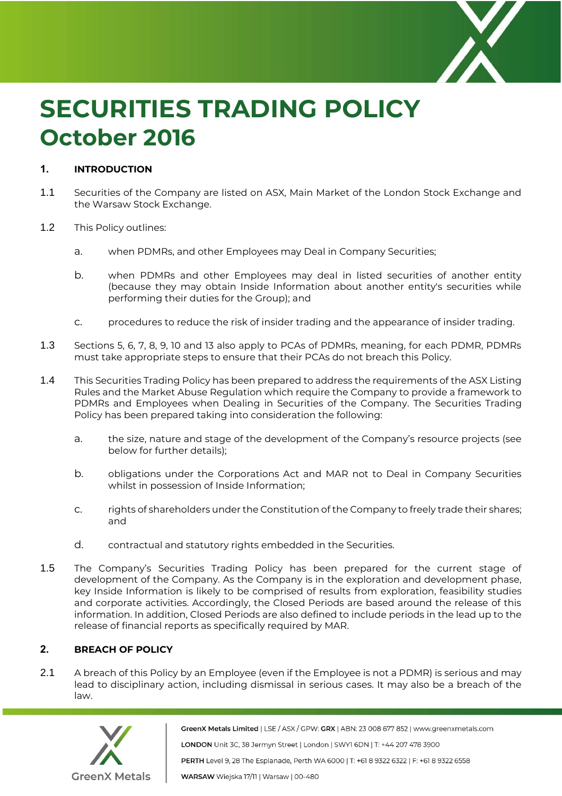

# **SECURITIES TRADING POLICY October 2016**

# **1. INTRODUCTION**

- 1.1 Securities of the Company are listed on ASX, Main Market of the London Stock Exchange and the Warsaw Stock Exchange.
- 1.2 This Policy outlines:
	- a. when PDMRs, and other Employees may Deal in Company Securities;
	- b. when PDMRs and other Employees may deal in listed securities of another entity (because they may obtain Inside Information about another entity's securities while performing their duties for the Group); and
	- c. procedures to reduce the risk of insider trading and the appearance of insider trading.
- 1.3 Sections 5, 6, 7, 8, 9, 10 and 13 also apply to PCAs of PDMRs, meaning, for each PDMR, PDMRs must take appropriate steps to ensure that their PCAs do not breach this Policy.
- 1.4 This Securities Trading Policy has been prepared to address the requirements of the ASX Listing Rules and the Market Abuse Regulation which require the Company to provide a framework to PDMRs and Employees when Dealing in Securities of the Company. The Securities Trading Policy has been prepared taking into consideration the following:
	- a. the size, nature and stage of the development of the Company's resource projects (see below for further details);
	- b. obligations under the Corporations Act and MAR not to Deal in Company Securities whilst in possession of Inside Information;
	- c. rights of shareholders under the Constitution of the Company to freely trade their shares; and
	- d. contractual and statutory rights embedded in the Securities.
- 1.5 The Company's Securities Trading Policy has been prepared for the current stage of development of the Company. As the Company is in the exploration and development phase, key Inside Information is likely to be comprised of results from exploration, feasibility studies and corporate activities. Accordingly, the Closed Periods are based around the release of this information. In addition, Closed Periods are also defined to include periods in the lead up to the release of financial reports as specifically required by MAR.

# **2. BREACH OF POLICY**

2.1 A breach of this Policy by an Employee (even if the Employee is not a PDMR) is serious and may lead to disciplinary action, including dismissal in serious cases. It may also be a breach of the law.



GreenX Metals Limited | LSE / ASX / GPW: GRX | ABN: 23 008 677 852 | www.greenxmetals.com LONDON Unit 3C, 38 Jermyn Street | London | SWY1 6DN | T: +44 207 478 3900 PERTH Level 9, 28 The Esplanade, Perth WA 6000 | T: +61 8 9322 6322 | F: +61 8 9322 6558 WARSAW Wiejska 17/11 | Warsaw | 00-480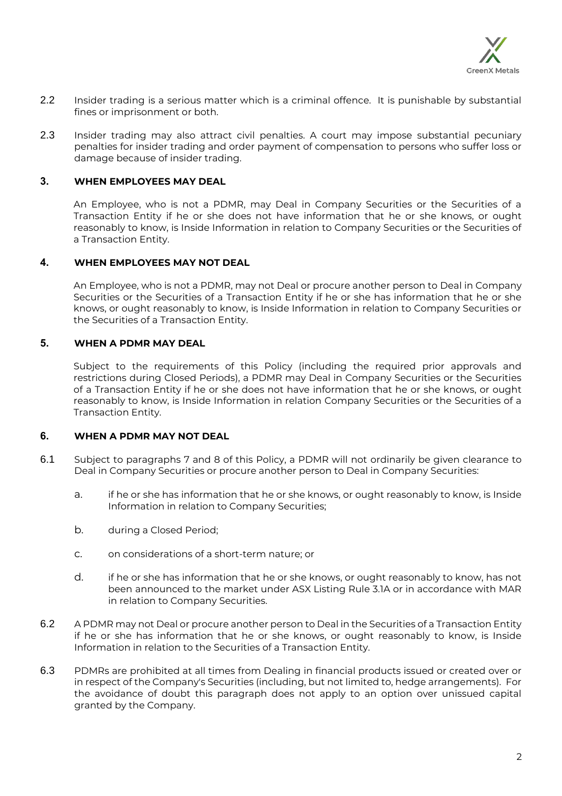

- 2.2 Insider trading is a serious matter which is a criminal offence. It is punishable by substantial fines or imprisonment or both.
- 2.3 Insider trading may also attract civil penalties. A court may impose substantial pecuniary penalties for insider trading and order payment of compensation to persons who suffer loss or damage because of insider trading.

# **3. WHEN EMPLOYEES MAY DEAL**

An Employee, who is not a PDMR, may Deal in Company Securities or the Securities of a Transaction Entity if he or she does not have information that he or she knows, or ought reasonably to know, is Inside Information in relation to Company Securities or the Securities of a Transaction Entity.

## **4. WHEN EMPLOYEES MAY NOT DEAL**

An Employee, who is not a PDMR, may not Deal or procure another person to Deal in Company Securities or the Securities of a Transaction Entity if he or she has information that he or she knows, or ought reasonably to know, is Inside Information in relation to Company Securities or the Securities of a Transaction Entity.

## **5. WHEN A PDMR MAY DEAL**

Subject to the requirements of this Policy (including the required prior approvals and restrictions during Closed Periods), a PDMR may Deal in Company Securities or the Securities of a Transaction Entity if he or she does not have information that he or she knows, or ought reasonably to know, is Inside Information in relation Company Securities or the Securities of a Transaction Entity.

# **6. WHEN A PDMR MAY NOT DEAL**

- 6.1 Subject to paragraphs 7 and 8 of this Policy, a PDMR will not ordinarily be given clearance to Deal in Company Securities or procure another person to Deal in Company Securities:
	- a. if he or she has information that he or she knows, or ought reasonably to know, is Inside Information in relation to Company Securities;
	- b. during a Closed Period;
	- c. on considerations of a short-term nature; or
	- d. if he or she has information that he or she knows, or ought reasonably to know, has not been announced to the market under ASX Listing Rule 3.1A or in accordance with MAR in relation to Company Securities.
- 6.2 A PDMR may not Deal or procure another person to Deal in the Securities of a Transaction Entity if he or she has information that he or she knows, or ought reasonably to know, is Inside Information in relation to the Securities of a Transaction Entity.
- 6.3 PDMRs are prohibited at all times from Dealing in financial products issued or created over or in respect of the Company's Securities (including, but not limited to, hedge arrangements). For the avoidance of doubt this paragraph does not apply to an option over unissued capital granted by the Company.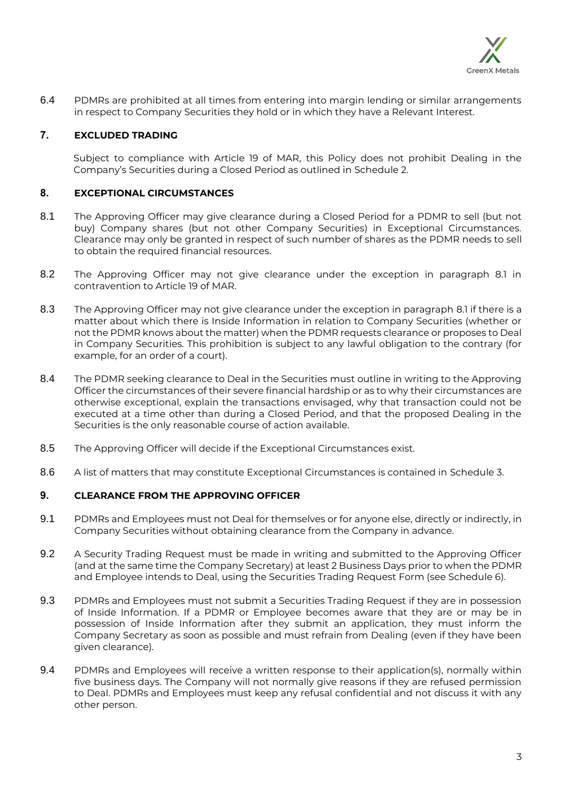

6.4 PDMRs are prohibited at all times from entering into margin lending or similar arrangements in respect to Company Securities they hold or in which they have a Relevant Interest.

# **7. EXCLUDED TRADING**

Subject to compliance with Article 19 of MAR, this Policy does not prohibit Dealing in the Company's Securities during a Closed Period as outlined in [Schedule](#page-12-0) 2.

# **8. EXCEPTIONAL CIRCUMSTANCES**

- 8.1 The Approving Officer may give clearance during a Closed Period for a PDMR to sell (but not buy) Company shares (but not other Company Securities) in Exceptional Circumstances. Clearance may only be granted in respect of such number of shares as the PDMR needs to sell to obtain the required financial resources.
- 8.2 The Approving Officer may not give clearance under the exception in paragraph 8.1 in contravention to Article 19 of MAR.
- 8.3 The Approving Officer may not give clearance under the exception in paragraph 8.1 if there is a matter about which there is Inside Information in relation to Company Securities (whether or not the PDMR knows about the matter) when the PDMR requests clearance or proposes to Deal in Company Securities. This prohibition is subject to any lawful obligation to the contrary (for example, for an order of a court).
- 8.4 The PDMR seeking clearance to Deal in the Securities must outline in writing to the Approving Officer the circumstances of their severe financial hardship or as to why their circumstances are otherwise exceptional, explain the transactions envisaged, why that transaction could not be executed at a time other than during a Closed Period, and that the proposed Dealing in the Securities is the only reasonable course of action available.
- 8.5 The Approving Officer will decide if the Exceptional Circumstances exist.
- 8.6 A list of matters that may constitute Exceptional Circumstances is contained in [Schedule](#page-13-0) 3.

## **9. CLEARANCE FROM THE APPROVING OFFICER**

- 9.1 PDMRs and Employees must not Deal for themselves or for anyone else, directly or indirectly, in Company Securities without obtaining clearance from the Company in advance.
- 9.2 A Security Trading Request must be made in writing and submitted to the Approving Officer (and at the same time the Company Secretary) at least 2 Business Days prior to when the PDMR and Employee intends to Deal, using the Securities Trading Request Form (see Schedule 6).
- 9.3 PDMRs and Employees must not submit a Securities Trading Request if they are in possession of Inside Information. If a PDMR or Employee becomes aware that they are or may be in possession of Inside Information after they submit an application, they must inform the Company Secretary as soon as possible and must refrain from Dealing (even if they have been given clearance).
- 9.4 PDMRs and Employees will receive a written response to their application(s), normally within five business days. The Company will not normally give reasons if they are refused permission to Deal. PDMRs and Employees must keep any refusal confidential and not discuss it with any other person.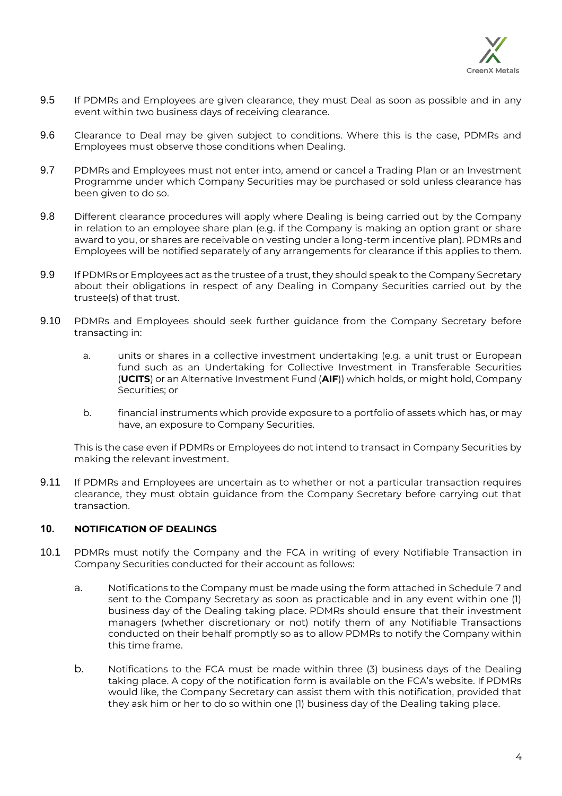

- 9.5 If PDMRs and Employees are given clearance, they must Deal as soon as possible and in any event within two business days of receiving clearance.
- 9.6 Clearance to Deal may be given subject to conditions. Where this is the case, PDMRs and Employees must observe those conditions when Dealing.
- 9.7 PDMRs and Employees must not enter into, amend or cancel a Trading Plan or an Investment Programme under which Company Securities may be purchased or sold unless clearance has been given to do so.
- 9.8 Different clearance procedures will apply where Dealing is being carried out by the Company in relation to an employee share plan (e.g. if the Company is making an option grant or share award to you, or shares are receivable on vesting under a long-term incentive plan). PDMRs and Employees will be notified separately of any arrangements for clearance if this applies to them.
- 9.9 If PDMRs or Employees act as the trustee of a trust, they should speak to the Company Secretary about their obligations in respect of any Dealing in Company Securities carried out by the trustee(s) of that trust.
- 9.10 PDMRs and Employees should seek further guidance from the Company Secretary before transacting in:
	- a. units or shares in a collective investment undertaking (e.g. a unit trust or European fund such as an Undertaking for Collective Investment in Transferable Securities (**UCITS**) or an Alternative Investment Fund (**AIF**)) which holds, or might hold, Company Securities; or
	- b. financial instruments which provide exposure to a portfolio of assets which has, or may have, an exposure to Company Securities.

This is the case even if PDMRs or Employees do not intend to transact in Company Securities by making the relevant investment.

9.11 If PDMRs and Employees are uncertain as to whether or not a particular transaction requires clearance, they must obtain guidance from the Company Secretary before carrying out that transaction.

## **10. NOTIFICATION OF DEALINGS**

- 10.1 PDMRs must notify the Company and the FCA in writing of every Notifiable Transaction in Company Securities conducted for their account as follows:
	- a. Notifications to the Company must be made using the form attached in Schedule 7 and sent to the Company Secretary as soon as practicable and in any event within one (1) business day of the Dealing taking place. PDMRs should ensure that their investment managers (whether discretionary or not) notify them of any Notifiable Transactions conducted on their behalf promptly so as to allow PDMRs to notify the Company within this time frame.
	- b. Notifications to the FCA must be made within three (3) business days of the Dealing taking place. A copy of the notification form is available on the FCA's website. If PDMRs would like, the Company Secretary can assist them with this notification, provided that they ask him or her to do so within one (1) business day of the Dealing taking place.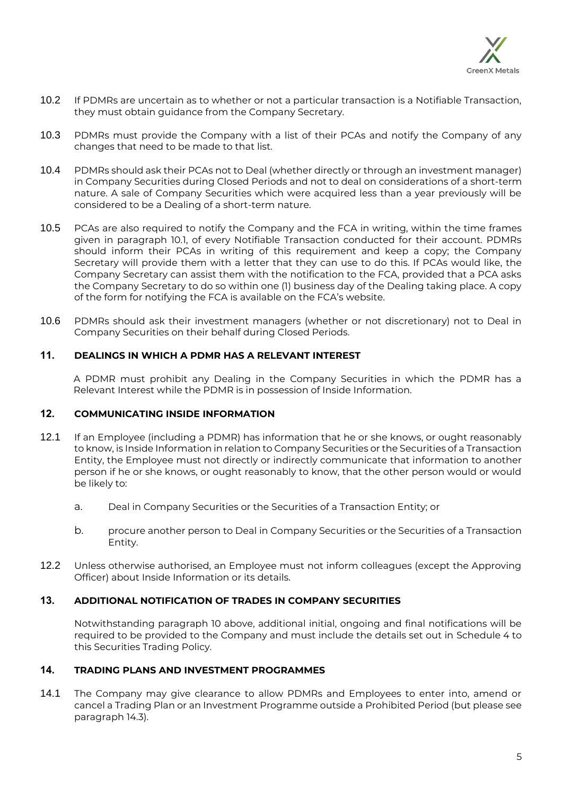

- 10.2 If PDMRs are uncertain as to whether or not a particular transaction is a Notifiable Transaction, they must obtain guidance from the Company Secretary.
- 10.3 PDMRs must provide the Company with a list of their PCAs and notify the Company of any changes that need to be made to that list.
- 10.4 PDMRs should ask their PCAs not to Deal (whether directly or through an investment manager) in Company Securities during Closed Periods and not to deal on considerations of a short-term nature. A sale of Company Securities which were acquired less than a year previously will be considered to be a Dealing of a short-term nature.
- 10.5 PCAs are also required to notify the Company and the FCA in writing, within the time frames given in paragraph 10.1, of every Notifiable Transaction conducted for their account. PDMRs should inform their PCAs in writing of this requirement and keep a copy; the Company Secretary will provide them with a letter that they can use to do this. If PCAs would like, the Company Secretary can assist them with the notification to the FCA, provided that a PCA asks the Company Secretary to do so within one (1) business day of the Dealing taking place. A copy of the form for notifying the FCA is available on the FCA's website.
- 10.6 PDMRs should ask their investment managers (whether or not discretionary) not to Deal in Company Securities on their behalf during Closed Periods.

# **11. DEALINGS IN WHICH A PDMR HAS A RELEVANT INTEREST**

A PDMR must prohibit any Dealing in the Company Securities in which the PDMR has a Relevant Interest while the PDMR is in possession of Inside Information.

# **12. COMMUNICATING INSIDE INFORMATION**

- 12.1 If an Employee (including a PDMR) has information that he or she knows, or ought reasonably to know, is Inside Information in relation to Company Securities or the Securities of a Transaction Entity, the Employee must not directly or indirectly communicate that information to another person if he or she knows, or ought reasonably to know, that the other person would or would be likely to:
	- a. Deal in Company Securities or the Securities of a Transaction Entity; or
	- b. procure another person to Deal in Company Securities or the Securities of a Transaction Entity.
- 12.2 Unless otherwise authorised, an Employee must not inform colleagues (except the Approving Officer) about Inside Information or its details.

## **13. ADDITIONAL NOTIFICATION OF TRADES IN COMPANY SECURITIES**

Notwithstanding paragraph 10 above, additional initial, ongoing and final notifications will be required to be provided to the Company and must include the details set out in [Schedule](#page-14-0) 4 to this Securities Trading Policy.

## **14. TRADING PLANS AND INVESTMENT PROGRAMMES**

14.1 The Company may give clearance to allow PDMRs and Employees to enter into, amend or cancel a Trading Plan or an Investment Programme outside a Prohibited Period (but please see paragraph [14.3\)](#page-5-0).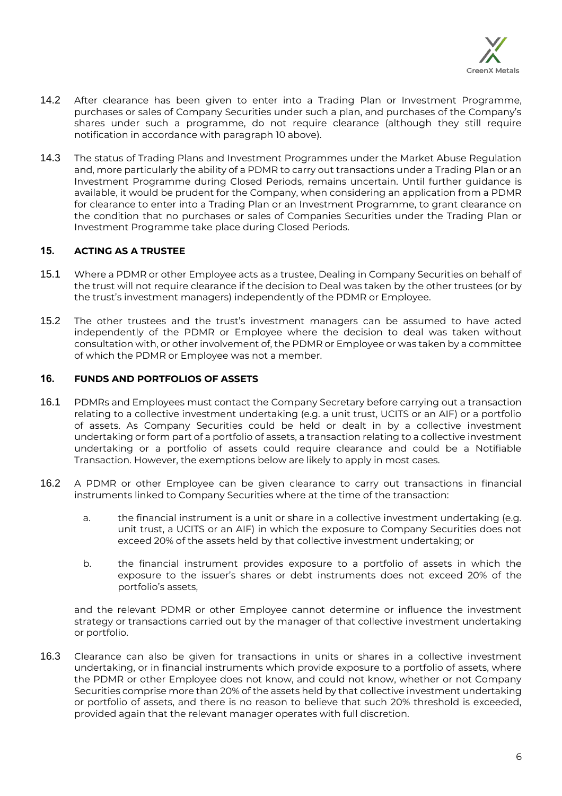

- 14.2 After clearance has been given to enter into a Trading Plan or Investment Programme, purchases or sales of Company Securities under such a plan, and purchases of the Company's shares under such a programme, do not require clearance (although they still require notification in accordance with paragraph 10 above).
- <span id="page-5-0"></span>14.3 The status of Trading Plans and Investment Programmes under the Market Abuse Regulation and, more particularly the ability of a PDMR to carry out transactions under a Trading Plan or an Investment Programme during Closed Periods, remains uncertain. Until further guidance is available, it would be prudent for the Company, when considering an application from a PDMR for clearance to enter into a Trading Plan or an Investment Programme, to grant clearance on the condition that no purchases or sales of Companies Securities under the Trading Plan or Investment Programme take place during Closed Periods.

# **15. ACTING AS A TRUSTEE**

- 15.1 Where a PDMR or other Employee acts as a trustee, Dealing in Company Securities on behalf of the trust will not require clearance if the decision to Deal was taken by the other trustees (or by the trust's investment managers) independently of the PDMR or Employee.
- 15.2 The other trustees and the trust's investment managers can be assumed to have acted independently of the PDMR or Employee where the decision to deal was taken without consultation with, or other involvement of, the PDMR or Employee or was taken by a committee of which the PDMR or Employee was not a member.

# **16. FUNDS AND PORTFOLIOS OF ASSETS**

- 16.1 PDMRs and Employees must contact the Company Secretary before carrying out a transaction relating to a collective investment undertaking (e.g. a unit trust, UCITS or an AIF) or a portfolio of assets. As Company Securities could be held or dealt in by a collective investment undertaking or form part of a portfolio of assets, a transaction relating to a collective investment undertaking or a portfolio of assets could require clearance and could be a Notifiable Transaction. However, the exemptions below are likely to apply in most cases.
- 16.2 A PDMR or other Employee can be given clearance to carry out transactions in financial instruments linked to Company Securities where at the time of the transaction:
	- a. the financial instrument is a unit or share in a collective investment undertaking (e.g. unit trust, a UCITS or an AIF) in which the exposure to Company Securities does not exceed 20% of the assets held by that collective investment undertaking; or
	- b. the financial instrument provides exposure to a portfolio of assets in which the exposure to the issuer's shares or debt instruments does not exceed 20% of the portfolio's assets,

and the relevant PDMR or other Employee cannot determine or influence the investment strategy or transactions carried out by the manager of that collective investment undertaking or portfolio.

16.3 Clearance can also be given for transactions in units or shares in a collective investment undertaking, or in financial instruments which provide exposure to a portfolio of assets, where the PDMR or other Employee does not know, and could not know, whether or not Company Securities comprise more than 20% of the assets held by that collective investment undertaking or portfolio of assets, and there is no reason to believe that such 20% threshold is exceeded, provided again that the relevant manager operates with full discretion.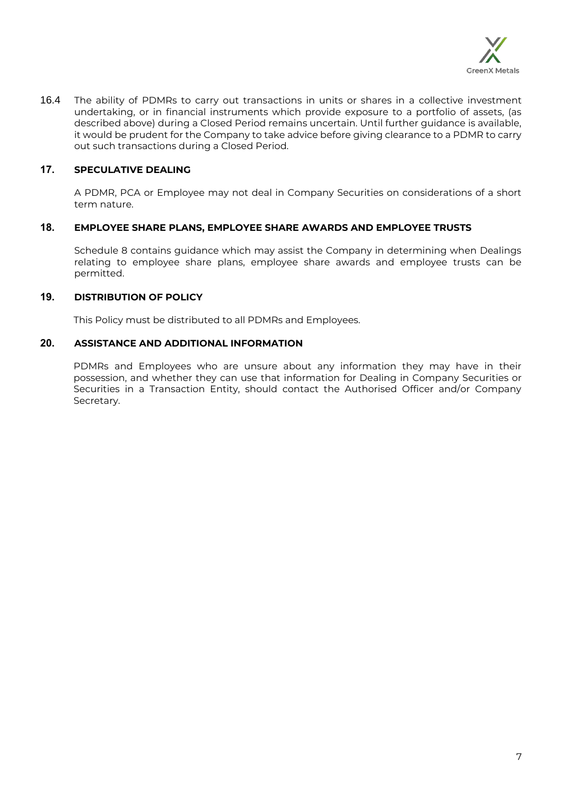

16.4 The ability of PDMRs to carry out transactions in units or shares in a collective investment undertaking, or in financial instruments which provide exposure to a portfolio of assets, (as described above) during a Closed Period remains uncertain. Until further guidance is available, it would be prudent for the Company to take advice before giving clearance to a PDMR to carry out such transactions during a Closed Period.

# **17. SPECULATIVE DEALING**

A PDMR, PCA or Employee may not deal in Company Securities on considerations of a short term nature.

# **18. EMPLOYEE SHARE PLANS, EMPLOYEE SHARE AWARDS AND EMPLOYEE TRUSTS**

Schedule 8 contains guidance which may assist the Company in determining when Dealings relating to employee share plans, employee share awards and employee trusts can be permitted.

# **19. DISTRIBUTION OF POLICY**

This Policy must be distributed to all PDMRs and Employees.

## **20. ASSISTANCE AND ADDITIONAL INFORMATION**

PDMRs and Employees who are unsure about any information they may have in their possession, and whether they can use that information for Dealing in Company Securities or Securities in a Transaction Entity, should contact the Authorised Officer and/or Company Secretary.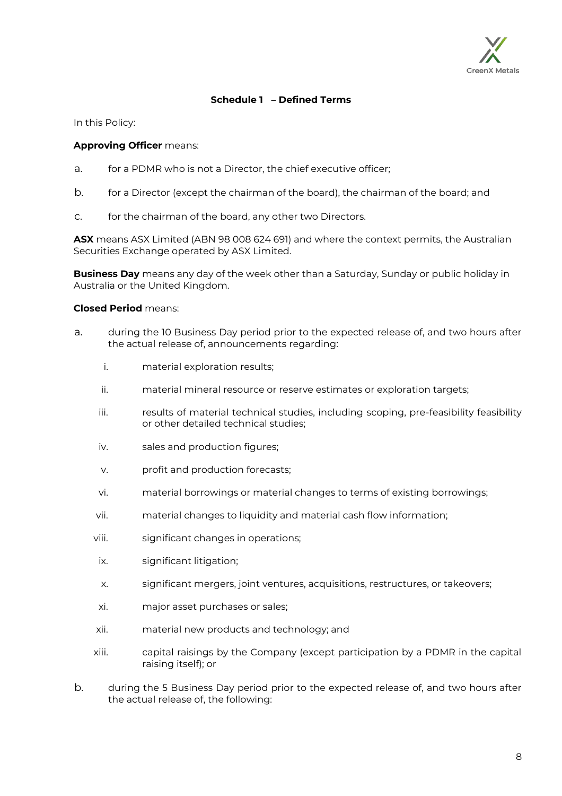

# **Schedule 1 – Defined Terms**

In this Policy:

#### **Approving Officer** means:

- a. for a PDMR who is not a Director, the chief executive officer;
- b. for a Director (except the chairman of the board), the chairman of the board; and
- c. for the chairman of the board, any other two Directors.

**ASX** means ASX Limited (ABN 98 008 624 691) and where the context permits, the Australian Securities Exchange operated by ASX Limited.

**Business Day** means any day of the week other than a Saturday, Sunday or public holiday in Australia or the United Kingdom.

#### **Closed Period** means:

- a. during the 10 Business Day period prior to the expected release of, and two hours after the actual release of, announcements regarding:
	- i. material exploration results;
	- ii. material mineral resource or reserve estimates or exploration targets;
	- iii. results of material technical studies, including scoping, pre-feasibility feasibility or other detailed technical studies;
	- iv. sales and production figures;
	- v. profit and production forecasts;
	- vi. material borrowings or material changes to terms of existing borrowings;
	- vii. material changes to liquidity and material cash flow information;
	- viii. significant changes in operations;
	- ix. significant litigation;
	- x. significant mergers, joint ventures, acquisitions, restructures, or takeovers;
	- xi. major asset purchases or sales;
	- xii. material new products and technology; and
	- xiii. capital raisings by the Company (except participation by a PDMR in the capital raising itself); or
- b. during the 5 Business Day period prior to the expected release of, and two hours after the actual release of, the following: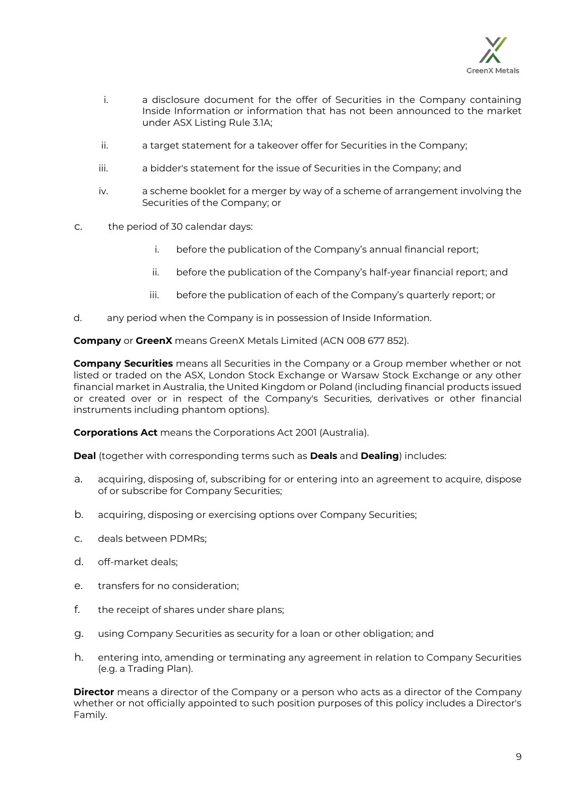

- i. a disclosure document for the offer of Securities in the Company containing Inside Information or information that has not been announced to the market under ASX Listing Rule 3.1A;
- ii. a target statement for a takeover offer for Securities in the Company;
- iii. a bidder's statement for the issue of Securities in the Company; and
- iv. a scheme booklet for a merger by way of a scheme of arrangement involving the Securities of the Company; or
- c. the period of 30 calendar days:
	- i. before the publication of the Company's annual financial report;
	- ii. before the publication of the Company's half-year financial report; and
	- iii. before the publication of each of the Company's quarterly report; or
- d. any period when the Company is in possession of Inside Information.

**Company** or **GreenX** means GreenX Metals Limited (ACN 008 677 852).

**Company Securities** means all Securities in the Company or a Group member whether or not listed or traded on the ASX, London Stock Exchange or Warsaw Stock Exchange or any other financial market in Australia, the United Kingdom or Poland (including financial products issued or created over or in respect of the Company's Securities, derivatives or other financial instruments including phantom options).

**Corporations Act** means the Corporations Act 2001 (Australia).

**Deal** (together with corresponding terms such as **Deals** and **Dealing**) includes:

- a. acquiring, disposing of, subscribing for or entering into an agreement to acquire, dispose of or subscribe for Company Securities;
- b. acquiring, disposing or exercising options over Company Securities;
- c. deals between PDMRs;
- d. off-market deals;
- e. transfers for no consideration;
- f. the receipt of shares under share plans;
- g. using Company Securities as security for a loan or other obligation; and
- h. entering into, amending or terminating any agreement in relation to Company Securities (e.g. a Trading Plan).

**Director** means a director of the Company or a person who acts as a director of the Company whether or not officially appointed to such position purposes of this policy includes a Director's Family.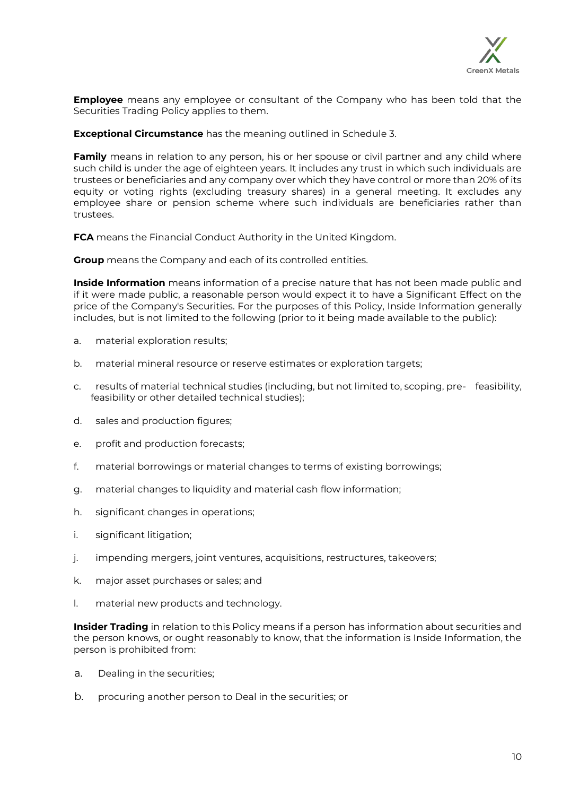

**Employee** means any employee or consultant of the Company who has been told that the Securities Trading Policy applies to them.

**Exceptional Circumstance** has the meaning outlined in [Schedule](#page-13-0) 3.

**Family** means in relation to any person, his or her spouse or civil partner and any child where such child is under the age of eighteen years. It includes any trust in which such individuals are trustees or beneficiaries and any company over which they have control or more than 20% of its equity or voting rights (excluding treasury shares) in a general meeting. It excludes any employee share or pension scheme where such individuals are beneficiaries rather than trustees.

**FCA** means the Financial Conduct Authority in the United Kingdom.

**Group** means the Company and each of its controlled entities.

**Inside Information** means information of a precise nature that has not been made public and if it were made public, a reasonable person would expect it to have a Significant Effect on the price of the Company's Securities. For the purposes of this Policy, Inside Information generally includes, but is not limited to the following (prior to it being made available to the public):

- a. material exploration results;
- b. material mineral resource or reserve estimates or exploration targets;
- c. results of material technical studies (including, but not limited to, scoping, pre- feasibility, feasibility or other detailed technical studies);
- d. sales and production figures;
- e. profit and production forecasts;
- f. material borrowings or material changes to terms of existing borrowings;
- g. material changes to liquidity and material cash flow information;
- h. significant changes in operations;
- i. significant litigation;
- j. impending mergers, joint ventures, acquisitions, restructures, takeovers;
- k. major asset purchases or sales; and
- l. material new products and technology.

**Insider Trading** in relation to this Policy means if a person has information about securities and the person knows, or ought reasonably to know, that the information is Inside Information, the person is prohibited from:

- a. Dealing in the securities;
- b. procuring another person to Deal in the securities; or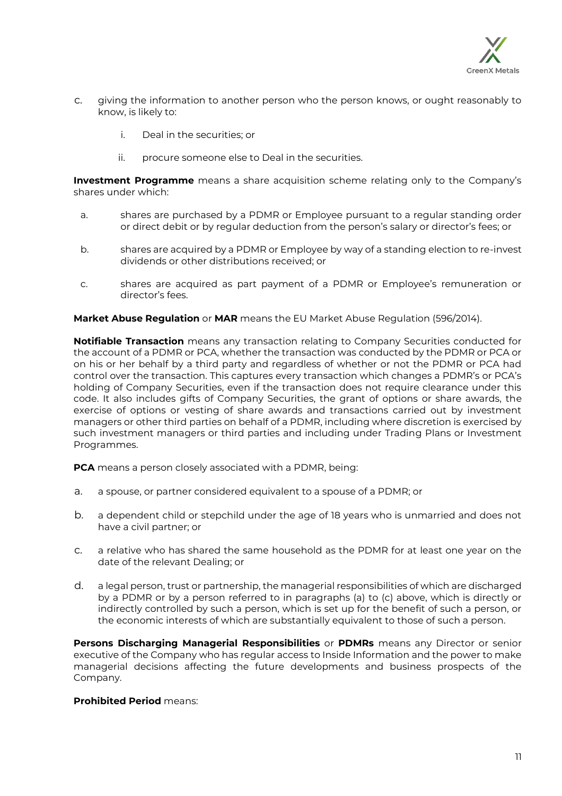

- c. giving the information to another person who the person knows, or ought reasonably to know, is likely to:
	- i. Deal in the securities; or
	- ii. procure someone else to Deal in the securities.

**Investment Programme** means a share acquisition scheme relating only to the Company's shares under which:

- a. shares are purchased by a PDMR or Employee pursuant to a regular standing order or direct debit or by regular deduction from the person's salary or director's fees; or
- b. shares are acquired by a PDMR or Employee by way of a standing election to re-invest dividends or other distributions received; or
- c. shares are acquired as part payment of a PDMR or Employee's remuneration or director's fees.

**Market Abuse Regulation** or **MAR** means the EU Market Abuse Regulation (596/2014).

**Notifiable Transaction** means any transaction relating to Company Securities conducted for the account of a PDMR or PCA, whether the transaction was conducted by the PDMR or PCA or on his or her behalf by a third party and regardless of whether or not the PDMR or PCA had control over the transaction. This captures every transaction which changes a PDMR's or PCA's holding of Company Securities, even if the transaction does not require clearance under this code. It also includes gifts of Company Securities, the grant of options or share awards, the exercise of options or vesting of share awards and transactions carried out by investment managers or other third parties on behalf of a PDMR, including where discretion is exercised by such investment managers or third parties and including under Trading Plans or Investment Programmes.

**PCA** means a person closely associated with a PDMR, being:

- a. a spouse, or partner considered equivalent to a spouse of a PDMR; or
- b. a dependent child or stepchild under the age of 18 years who is unmarried and does not have a civil partner; or
- c. a relative who has shared the same household as the PDMR for at least one year on the date of the relevant Dealing; or
- d. a legal person, trust or partnership, the managerial responsibilities of which are discharged by a PDMR or by a person referred to in paragraphs (a) to (c) above, which is directly or indirectly controlled by such a person, which is set up for the benefit of such a person, or the economic interests of which are substantially equivalent to those of such a person.

**Persons Discharging Managerial Responsibilities** or **PDMRs** means any Director or senior executive of the Company who has regular access to Inside Information and the power to make managerial decisions affecting the future developments and business prospects of the Company.

#### **Prohibited Period** means: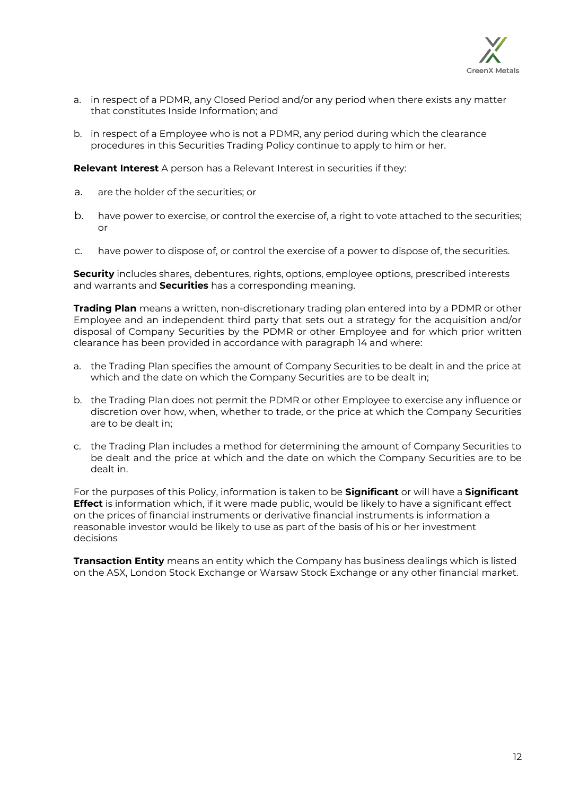

- a. in respect of a PDMR, any Closed Period and/or any period when there exists any matter that constitutes Inside Information; and
- b. in respect of a Employee who is not a PDMR, any period during which the clearance procedures in this Securities Trading Policy continue to apply to him or her.

**Relevant Interest** A person has a Relevant Interest in securities if they:

- a. are the holder of the securities; or
- b. have power to exercise, or control the exercise of, a right to vote attached to the securities; or
- c. have power to dispose of, or control the exercise of a power to dispose of, the securities.

**Security** includes shares, debentures, rights, options, employee options, prescribed interests and warrants and **Securities** has a corresponding meaning.

**Trading Plan** means a written, non-discretionary trading plan entered into by a PDMR or other Employee and an independent third party that sets out a strategy for the acquisition and/or disposal of Company Securities by the PDMR or other Employee and for which prior written clearance has been provided in accordance with paragraph 14 and where:

- a. the Trading Plan specifies the amount of Company Securities to be dealt in and the price at which and the date on which the Company Securities are to be dealt in;
- b. the Trading Plan does not permit the PDMR or other Employee to exercise any influence or discretion over how, when, whether to trade, or the price at which the Company Securities are to be dealt in;
- c. the Trading Plan includes a method for determining the amount of Company Securities to be dealt and the price at which and the date on which the Company Securities are to be dealt in.

For the purposes of this Policy, information is taken to be **Significant** or will have a **Significant Effect** is information which, if it were made public, would be likely to have a significant effect on the prices of financial instruments or derivative financial instruments is information a reasonable investor would be likely to use as part of the basis of his or her investment decisions

**Transaction Entity** means an entity which the Company has business dealings which is listed on the ASX, London Stock Exchange or Warsaw Stock Exchange or any other financial market.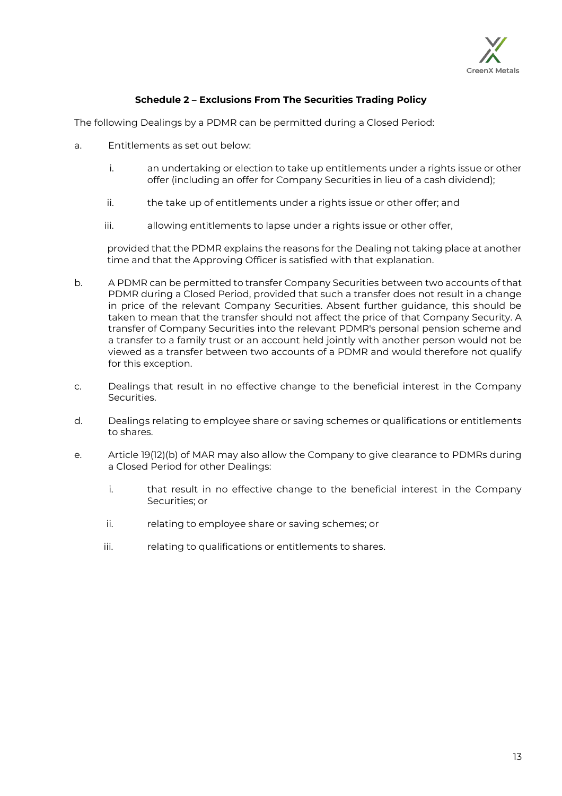

# **Schedule 2 – Exclusions From The Securities Trading Policy**

<span id="page-12-0"></span>The following Dealings by a PDMR can be permitted during a Closed Period:

- a. Entitlements as set out below:
	- i. an undertaking or election to take up entitlements under a rights issue or other offer (including an offer for Company Securities in lieu of a cash dividend);
	- ii. the take up of entitlements under a rights issue or other offer; and
	- iii. allowing entitlements to lapse under a rights issue or other offer,

provided that the PDMR explains the reasons for the Dealing not taking place at another time and that the Approving Officer is satisfied with that explanation.

- b. A PDMR can be permitted to transfer Company Securities between two accounts of that PDMR during a Closed Period, provided that such a transfer does not result in a change in price of the relevant Company Securities. Absent further guidance, this should be taken to mean that the transfer should not affect the price of that Company Security. A transfer of Company Securities into the relevant PDMR's personal pension scheme and a transfer to a family trust or an account held jointly with another person would not be viewed as a transfer between two accounts of a PDMR and would therefore not qualify for this exception.
- c. Dealings that result in no effective change to the beneficial interest in the Company Securities.
- d. Dealings relating to employee share or saving schemes or qualifications or entitlements to shares.
- e. Article 19(12)(b) of MAR may also allow the Company to give clearance to PDMRs during a Closed Period for other Dealings:
	- i. that result in no effective change to the beneficial interest in the Company Securities; or
	- ii. relating to employee share or saving schemes; or
	- iii. relating to qualifications or entitlements to shares.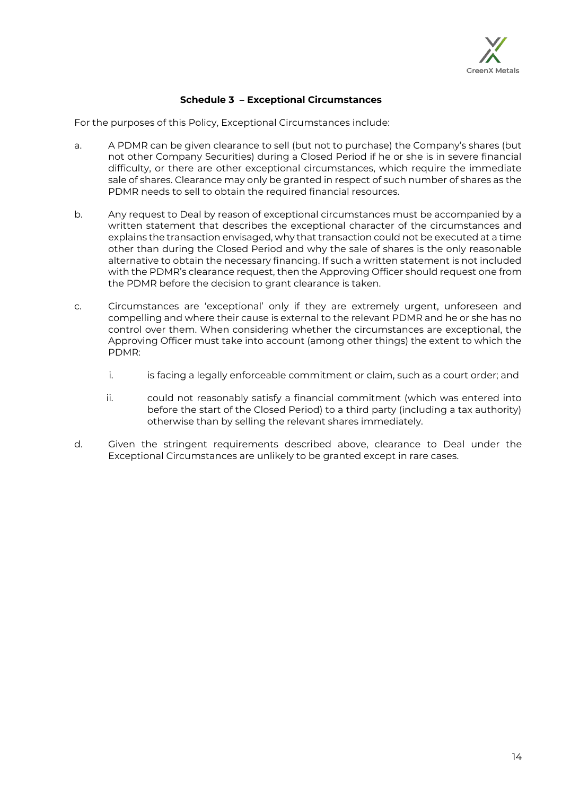

# <span id="page-13-0"></span>**Schedule 3 – Exceptional Circumstances**

For the purposes of this Policy, Exceptional Circumstances include:

- a. A PDMR can be given clearance to sell (but not to purchase) the Company's shares (but not other Company Securities) during a Closed Period if he or she is in severe financial difficulty, or there are other exceptional circumstances, which require the immediate sale of shares. Clearance may only be granted in respect of such number of shares as the PDMR needs to sell to obtain the required financial resources.
- b. Any request to Deal by reason of exceptional circumstances must be accompanied by a written statement that describes the exceptional character of the circumstances and explains the transaction envisaged, why that transaction could not be executed at a time other than during the Closed Period and why the sale of shares is the only reasonable alternative to obtain the necessary financing. If such a written statement is not included with the PDMR's clearance request, then the Approving Officer should request one from the PDMR before the decision to grant clearance is taken.
- c. Circumstances are 'exceptional' only if they are extremely urgent, unforeseen and compelling and where their cause is external to the relevant PDMR and he or she has no control over them. When considering whether the circumstances are exceptional, the Approving Officer must take into account (among other things) the extent to which the PDMR:
	- i. is facing a legally enforceable commitment or claim, such as a court order; and
	- ii. could not reasonably satisfy a financial commitment (which was entered into before the start of the Closed Period) to a third party (including a tax authority) otherwise than by selling the relevant shares immediately.
- d. Given the stringent requirements described above, clearance to Deal under the Exceptional Circumstances are unlikely to be granted except in rare cases.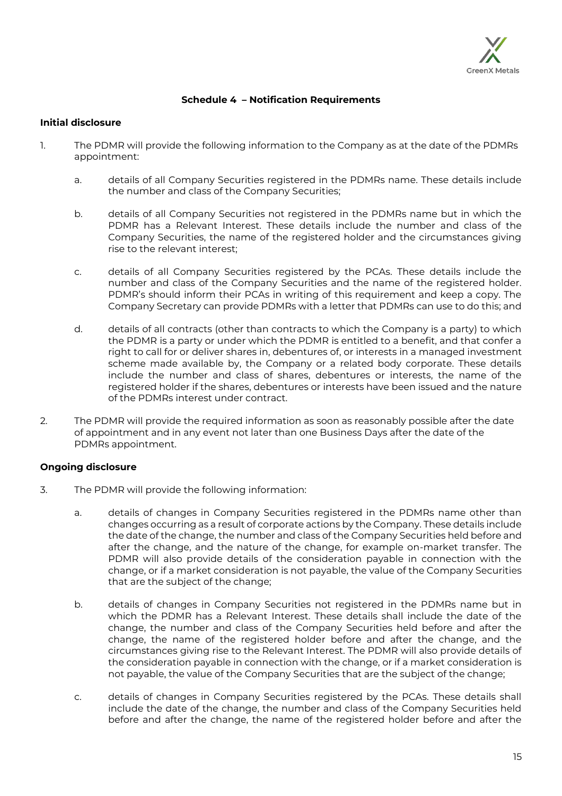

# <span id="page-14-0"></span>**Schedule 4 – Notification Requirements**

#### **Initial disclosure**

- 1. The PDMR will provide the following information to the Company as at the date of the PDMRs appointment:
	- a. details of all Company Securities registered in the PDMRs name. These details include the number and class of the Company Securities;
	- b. details of all Company Securities not registered in the PDMRs name but in which the PDMR has a Relevant Interest. These details include the number and class of the Company Securities, the name of the registered holder and the circumstances giving rise to the relevant interest;
	- c. details of all Company Securities registered by the PCAs. These details include the number and class of the Company Securities and the name of the registered holder. PDMR's should inform their PCAs in writing of this requirement and keep a copy. The Company Secretary can provide PDMRs with a letter that PDMRs can use to do this; and
	- d. details of all contracts (other than contracts to which the Company is a party) to which the PDMR is a party or under which the PDMR is entitled to a benefit, and that confer a right to call for or deliver shares in, debentures of, or interests in a managed investment scheme made available by, the Company or a related body corporate. These details include the number and class of shares, debentures or interests, the name of the registered holder if the shares, debentures or interests have been issued and the nature of the PDMRs interest under contract.
- 2. The PDMR will provide the required information as soon as reasonably possible after the date of appointment and in any event not later than one Business Days after the date of the PDMRs appointment.

## **Ongoing disclosure**

- 3. The PDMR will provide the following information:
	- a. details of changes in Company Securities registered in the PDMRs name other than changes occurring as a result of corporate actions by the Company. These details include the date of the change, the number and class of the Company Securities held before and after the change, and the nature of the change, for example on-market transfer. The PDMR will also provide details of the consideration payable in connection with the change, or if a market consideration is not payable, the value of the Company Securities that are the subject of the change;
	- b. details of changes in Company Securities not registered in the PDMRs name but in which the PDMR has a Relevant Interest. These details shall include the date of the change, the number and class of the Company Securities held before and after the change, the name of the registered holder before and after the change, and the circumstances giving rise to the Relevant Interest. The PDMR will also provide details of the consideration payable in connection with the change, or if a market consideration is not payable, the value of the Company Securities that are the subject of the change;
	- c. details of changes in Company Securities registered by the PCAs. These details shall include the date of the change, the number and class of the Company Securities held before and after the change, the name of the registered holder before and after the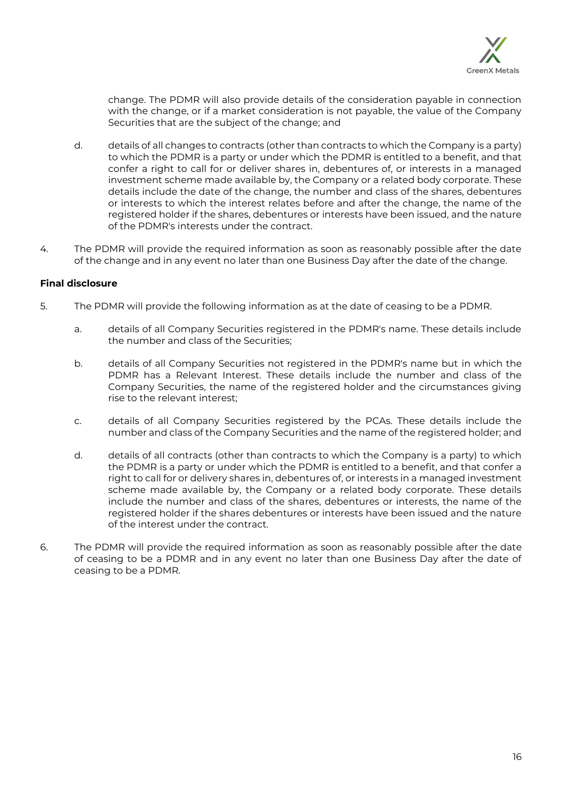

change. The PDMR will also provide details of the consideration payable in connection with the change, or if a market consideration is not payable, the value of the Company Securities that are the subject of the change; and

- d. details of all changes to contracts (other than contracts to which the Company is a party) to which the PDMR is a party or under which the PDMR is entitled to a benefit, and that confer a right to call for or deliver shares in, debentures of, or interests in a managed investment scheme made available by, the Company or a related body corporate. These details include the date of the change, the number and class of the shares, debentures or interests to which the interest relates before and after the change, the name of the registered holder if the shares, debentures or interests have been issued, and the nature of the PDMR's interests under the contract.
- 4. The PDMR will provide the required information as soon as reasonably possible after the date of the change and in any event no later than one Business Day after the date of the change.

# **Final disclosure**

- 5. The PDMR will provide the following information as at the date of ceasing to be a PDMR.
	- a. details of all Company Securities registered in the PDMR's name. These details include the number and class of the Securities;
	- b. details of all Company Securities not registered in the PDMR's name but in which the PDMR has a Relevant Interest. These details include the number and class of the Company Securities, the name of the registered holder and the circumstances giving rise to the relevant interest;
	- c. details of all Company Securities registered by the PCAs. These details include the number and class of the Company Securities and the name of the registered holder; and
	- d. details of all contracts (other than contracts to which the Company is a party) to which the PDMR is a party or under which the PDMR is entitled to a benefit, and that confer a right to call for or delivery shares in, debentures of, or interests in a managed investment scheme made available by, the Company or a related body corporate. These details include the number and class of the shares, debentures or interests, the name of the registered holder if the shares debentures or interests have been issued and the nature of the interest under the contract.
- 6. The PDMR will provide the required information as soon as reasonably possible after the date of ceasing to be a PDMR and in any event no later than one Business Day after the date of ceasing to be a PDMR.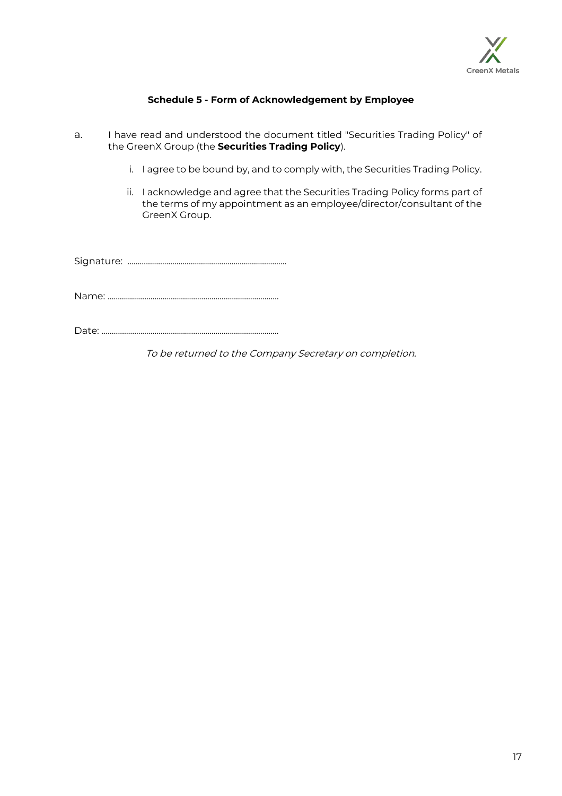

# **Schedule 5 - Form of Acknowledgement by Employee**

- a. I have read and understood the document titled "Securities Trading Policy" of the GreenX Group (the **Securities Trading Policy**).
	- i. I agree to be bound by, and to comply with, the Securities Trading Policy.
	- ii. I acknowledge and agree that the Securities Trading Policy forms part of the terms of my appointment as an employee/director/consultant of the GreenX Group.

Signature: ……………………………………………………………………

Name: …………………………………………………………………………

Date: ..……………………………………………………..…………………..

To be returned to the Company Secretary on completion.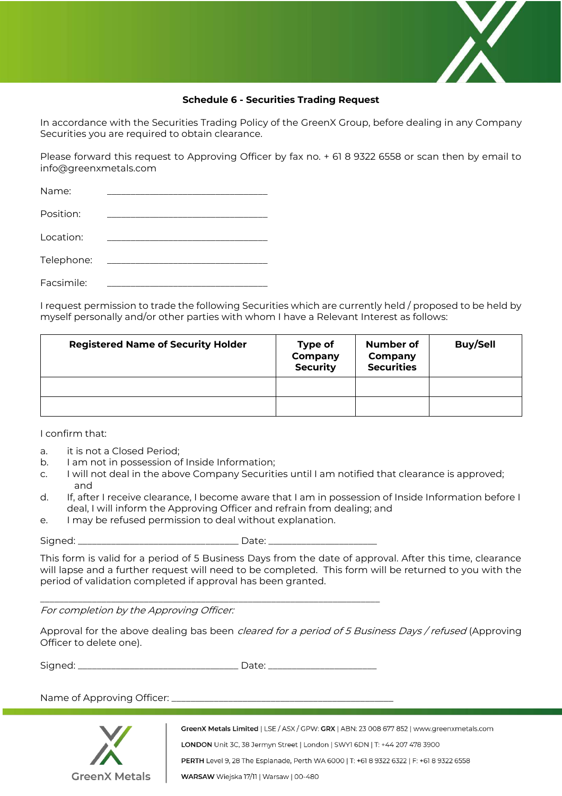

# **Schedule 6 - Securities Trading Request**

In accordance with the Securities Trading Policy of the GreenX Group, before dealing in any Company Securities you are required to obtain clearance.

Please forward this request to Approving Officer by fax no. + 61 8 9322 6558 or scan then by email to info@greenxmetals.com

| Name:      |  |
|------------|--|
| Position:  |  |
| Location:  |  |
| Telephone: |  |
| Facsimile: |  |

I request permission to trade the following Securities which are currently held / proposed to be held by myself personally and/or other parties with whom I have a Relevant Interest as follows:

| <b>Registered Name of Security Holder</b> | Type of<br>Company<br><b>Security</b> | <b>Number of</b><br>Company<br><b>Securities</b> | <b>Buy/Sell</b> |
|-------------------------------------------|---------------------------------------|--------------------------------------------------|-----------------|
|                                           |                                       |                                                  |                 |
|                                           |                                       |                                                  |                 |

I confirm that:

- a. it is not a Closed Period;
- b. I am not in possession of Inside Information;
- c. I will not deal in the above Company Securities until I am notified that clearance is approved; and
- d. If, after I receive clearance, I become aware that I am in possession of Inside Information before I deal, I will inform the Approving Officer and refrain from dealing; and
- e. I may be refused permission to deal without explanation.

Signed: \_\_\_\_\_\_\_\_\_\_\_\_\_\_\_\_\_\_\_\_\_\_\_\_\_\_\_\_\_\_\_\_\_\_ Date: \_\_\_\_\_\_\_\_\_\_\_\_\_\_\_\_\_\_\_\_\_\_\_

This form is valid for a period of 5 Business Days from the date of approval. After this time, clearance will lapse and a further request will need to be completed. This form will be returned to you with the period of validation completed if approval has been granted.

For completion by the Approving Officer:

Approval for the above dealing bas been *cleared for a period of 5 Business Days / refused* (Approving Officer to delete one).

Signed: \_\_\_\_\_\_\_\_\_\_\_\_\_\_\_\_\_\_\_\_\_\_\_\_\_\_\_\_\_\_\_\_\_\_ Date: \_\_\_\_\_\_\_\_\_\_\_\_\_\_\_\_\_\_\_\_\_\_\_

 $\mathcal{L}_\text{max}$  , and the contract of the contract of the contract of the contract of the contract of the contract of

Name of Approving Officer: \_



GreenX Metals Limited | LSE / ASX / GPW: GRX | ABN: 23 008 677 852 | www.greenxmetals.com LONDON Unit 3C, 38 Jermyn Street | London | SWY1 6DN | T: +44 207 478 3900 PERTH Level 9, 28 The Esplanade, Perth WA 6000 | T: +61 8 9322 6322 | F: +61 8 9322 6558 WARSAW Wiejska 17/11 | Warsaw | 00-480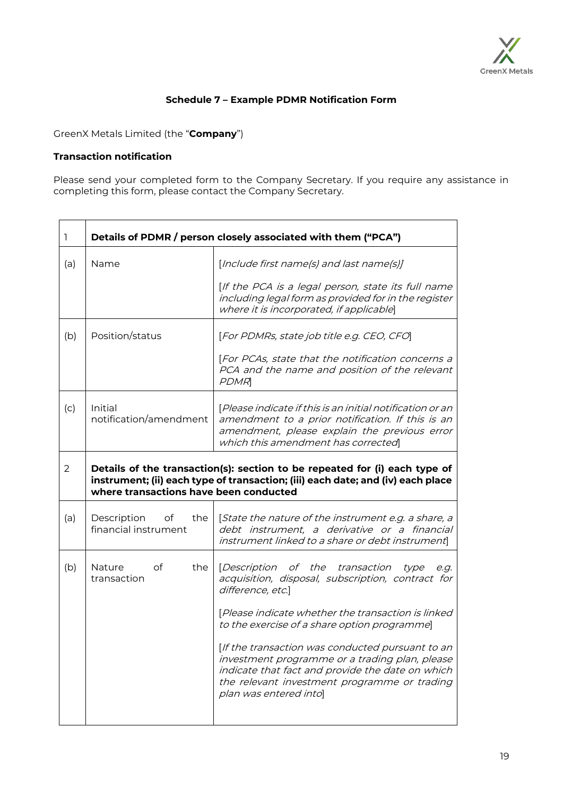

# **Schedule 7 – Example PDMR Notification Form**

GreenX Metals Limited (the "**Company**")

## **Transaction notification**

Please send your completed form to the Company Secretary. If you require any assistance in completing this form, please contact the Company Secretary.

| [Include first name(s) and last name(s)]<br>[If the PCA is a legal person, state its full name<br>including legal form as provided for in the register<br>where it is incorporated, if applicable]<br>[For PDMRs, state job title e.g. CEO, CFO]<br>[For PCAs, state that the notification concerns a<br>PCA and the name and position of the relevant |  |  |  |  |  |  |  |
|--------------------------------------------------------------------------------------------------------------------------------------------------------------------------------------------------------------------------------------------------------------------------------------------------------------------------------------------------------|--|--|--|--|--|--|--|
|                                                                                                                                                                                                                                                                                                                                                        |  |  |  |  |  |  |  |
|                                                                                                                                                                                                                                                                                                                                                        |  |  |  |  |  |  |  |
|                                                                                                                                                                                                                                                                                                                                                        |  |  |  |  |  |  |  |
|                                                                                                                                                                                                                                                                                                                                                        |  |  |  |  |  |  |  |
| [Please indicate if this is an initial notification or an<br>amendment to a prior notification. If this is an<br>amendment, please explain the previous error<br>which this amendment has corrected                                                                                                                                                    |  |  |  |  |  |  |  |
| Details of the transaction(s): section to be repeated for (i) each type of<br>instrument; (ii) each type of transaction; (iii) each date; and (iv) each place<br>where transactions have been conducted                                                                                                                                                |  |  |  |  |  |  |  |
| [State the nature of the instrument e.g. a share, a<br>debt instrument, a derivative or a financial<br>instrument linked to a share or debt instrument                                                                                                                                                                                                 |  |  |  |  |  |  |  |
| [Description of the transaction<br>type<br>e.g.<br>acquisition, disposal, subscription, contract for                                                                                                                                                                                                                                                   |  |  |  |  |  |  |  |
| [Please indicate whether the transaction is linked<br>to the exercise of a share option programme]                                                                                                                                                                                                                                                     |  |  |  |  |  |  |  |
| [If the transaction was conducted pursuant to an<br>investment programme or a trading plan, please<br>indicate that fact and provide the date on which<br>the relevant investment programme or trading                                                                                                                                                 |  |  |  |  |  |  |  |
|                                                                                                                                                                                                                                                                                                                                                        |  |  |  |  |  |  |  |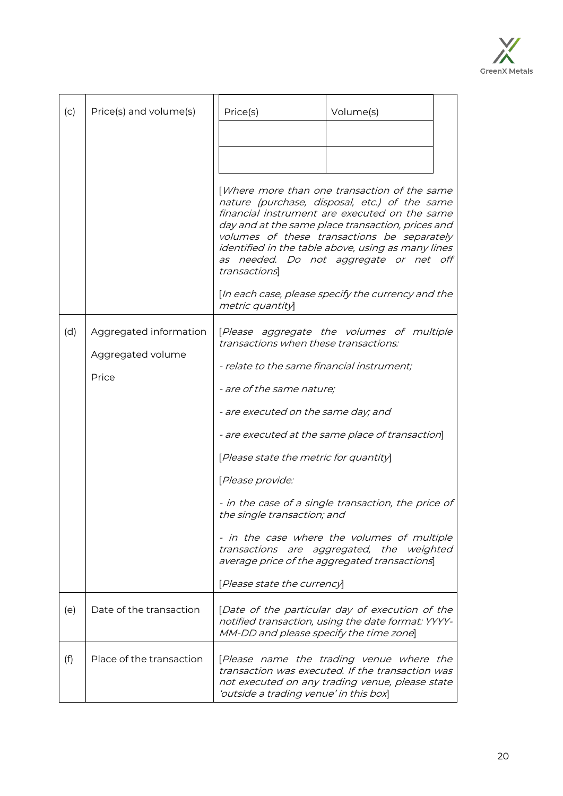

| (c) | Price(s) and volume(s)   |                                        | Price(s)                                                                                                                                                                                                                                                                                                                                                           | Volume(s)                                                                                                                                       |  |  |
|-----|--------------------------|----------------------------------------|--------------------------------------------------------------------------------------------------------------------------------------------------------------------------------------------------------------------------------------------------------------------------------------------------------------------------------------------------------------------|-------------------------------------------------------------------------------------------------------------------------------------------------|--|--|
|     |                          |                                        |                                                                                                                                                                                                                                                                                                                                                                    |                                                                                                                                                 |  |  |
|     |                          |                                        |                                                                                                                                                                                                                                                                                                                                                                    |                                                                                                                                                 |  |  |
|     |                          |                                        | [Where more than one transaction of the same<br>nature (purchase, disposal, etc.) of the same<br>financial instrument are executed on the same<br>day and at the same place transaction, prices and<br>volumes of these transactions be separately<br>identified in the table above, using as many lines<br>as needed. Do not aggregate or net off<br>transactions |                                                                                                                                                 |  |  |
|     |                          |                                        | [In each case, please specify the currency and the<br>metric quantity                                                                                                                                                                                                                                                                                              |                                                                                                                                                 |  |  |
| (d) | Aggregated information   |                                        | transactions when these transactions:                                                                                                                                                                                                                                                                                                                              | [Please aggregate the volumes of multiple                                                                                                       |  |  |
|     | Aggregated volume        |                                        | - relate to the same financial instrument;                                                                                                                                                                                                                                                                                                                         |                                                                                                                                                 |  |  |
|     | Price                    | - are of the same nature;              |                                                                                                                                                                                                                                                                                                                                                                    |                                                                                                                                                 |  |  |
|     |                          |                                        | - are executed on the same day; and                                                                                                                                                                                                                                                                                                                                |                                                                                                                                                 |  |  |
|     |                          |                                        |                                                                                                                                                                                                                                                                                                                                                                    | - are executed at the same place of transaction]                                                                                                |  |  |
|     |                          | [Please state the metric for quantity] |                                                                                                                                                                                                                                                                                                                                                                    |                                                                                                                                                 |  |  |
|     |                          |                                        | [Please provide:                                                                                                                                                                                                                                                                                                                                                   |                                                                                                                                                 |  |  |
|     |                          |                                        | the single transaction; and                                                                                                                                                                                                                                                                                                                                        | - in the case of a single transaction, the price of                                                                                             |  |  |
|     |                          |                                        | - in the case where the volumes of multiple<br>transactions are aggregated, the weighted<br>average price of the aggregated transactions                                                                                                                                                                                                                           |                                                                                                                                                 |  |  |
|     |                          |                                        | [Please state the currency]                                                                                                                                                                                                                                                                                                                                        |                                                                                                                                                 |  |  |
| (e) | Date of the transaction  |                                        | MM-DD and please specify the time zone]                                                                                                                                                                                                                                                                                                                            | [Date of the particular day of execution of the<br>notified transaction, using the date format: YYYY-                                           |  |  |
| (f) | Place of the transaction |                                        | 'outside a trading venue' in this box]                                                                                                                                                                                                                                                                                                                             | [Please name the trading venue where the<br>transaction was executed. If the transaction was<br>not executed on any trading venue, please state |  |  |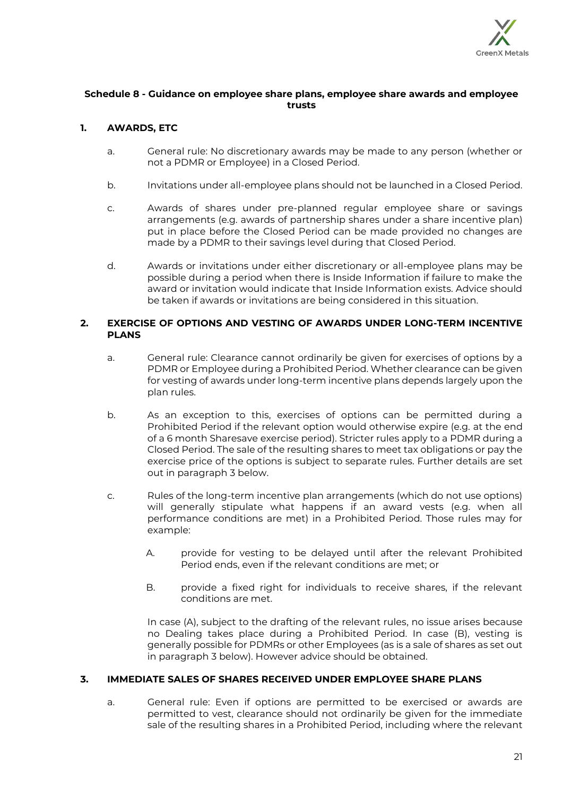

## **Schedule 8 - Guidance on employee share plans, employee share awards and employee trusts**

# **1. AWARDS, ETC**

- a. General rule: No discretionary awards may be made to any person (whether or not a PDMR or Employee) in a Closed Period.
- b. Invitations under all-employee plans should not be launched in a Closed Period.
- c. Awards of shares under pre-planned regular employee share or savings arrangements (e.g. awards of partnership shares under a share incentive plan) put in place before the Closed Period can be made provided no changes are made by a PDMR to their savings level during that Closed Period.
- d. Awards or invitations under either discretionary or all-employee plans may be possible during a period when there is Inside Information if failure to make the award or invitation would indicate that Inside Information exists. Advice should be taken if awards or invitations are being considered in this situation.

## **2. EXERCISE OF OPTIONS AND VESTING OF AWARDS UNDER LONG-TERM INCENTIVE PLANS**

- a. General rule: Clearance cannot ordinarily be given for exercises of options by a PDMR or Employee during a Prohibited Period. Whether clearance can be given for vesting of awards under long-term incentive plans depends largely upon the plan rules.
- b. As an exception to this, exercises of options can be permitted during a Prohibited Period if the relevant option would otherwise expire (e.g. at the end of a 6 month Sharesave exercise period). Stricter rules apply to a PDMR during a Closed Period. The sale of the resulting shares to meet tax obligations or pay the exercise price of the options is subject to separate rules. Further details are set out in paragraph 3 below.
- c. Rules of the long-term incentive plan arrangements (which do not use options) will generally stipulate what happens if an award vests (e.g. when all performance conditions are met) in a Prohibited Period. Those rules may for example:
	- A. provide for vesting to be delayed until after the relevant Prohibited Period ends, even if the relevant conditions are met; or
	- B. provide a fixed right for individuals to receive shares, if the relevant conditions are met.

In case (A), subject to the drafting of the relevant rules, no issue arises because no Dealing takes place during a Prohibited Period. In case (B), vesting is generally possible for PDMRs or other Employees (as is a sale of shares as set out in paragraph 3 below). However advice should be obtained.

## **3. IMMEDIATE SALES OF SHARES RECEIVED UNDER EMPLOYEE SHARE PLANS**

a. General rule: Even if options are permitted to be exercised or awards are permitted to vest, clearance should not ordinarily be given for the immediate sale of the resulting shares in a Prohibited Period, including where the relevant